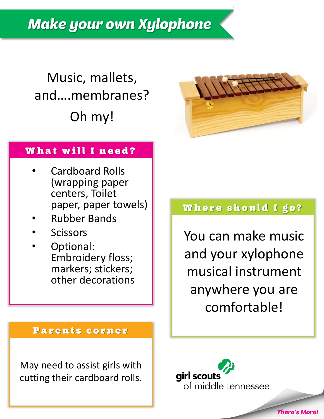**Make your own Xylophone** 

# Music, mallets, and….membranes? Oh my!



#### What will I need?

- Cardboard Rolls (wrapping paper centers, Toilet paper, paper towels)
- Rubber Bands
- **Scissors**
- Optional: Embroidery floss; markers; stickers; other decorations

#### Parents corner

May need to assist girls with cutting their cardboard rolls.

#### Where should I go?

You can make music and your xylophone musical instrument anywhere you are comfortable!

**There's More!** 

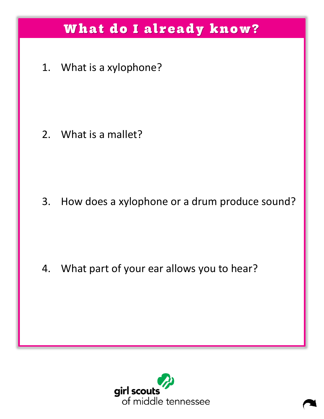## What do I already know?

1. What is a xylophone?

2. What is a mallet?

3. How does a xylophone or a drum produce sound?

4. What part of your ear allows you to hear?

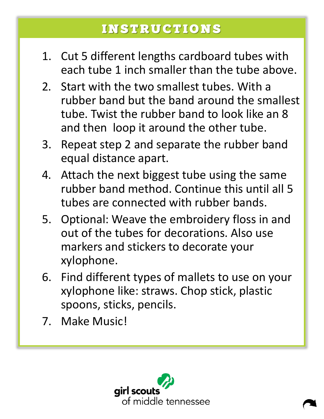## **INSTRUCTIONS**

- 1. Cut 5 different lengths cardboard tubes with each tube 1 inch smaller than the tube above.
- 2. Start with the two smallest tubes. With a rubber band but the band around the smallest tube. Twist the rubber band to look like an 8 and then loop it around the other tube.
- 3. Repeat step 2 and separate the rubber band equal distance apart.
- 4. Attach the next biggest tube using the same rubber band method. Continue this until all 5 tubes are connected with rubber bands.
- 5. Optional: Weave the embroidery floss in and out of the tubes for decorations. Also use markers and stickers to decorate your xylophone.
- 6. Find different types of mallets to use on your xylophone like: straws. Chop stick, plastic spoons, sticks, pencils.
- 7. Make Music!

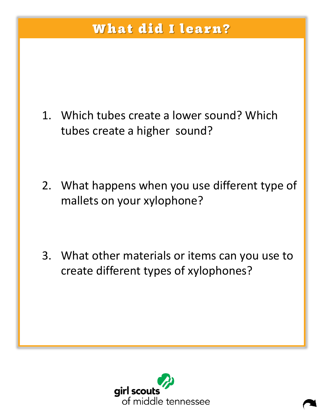## What did I learn?

- 1. Which tubes create a lower sound? Which tubes create a higher sound?
- 2. What happens when you use different type of mallets on your xylophone?
- 3. What other materials or items can you use to create different types of xylophones?